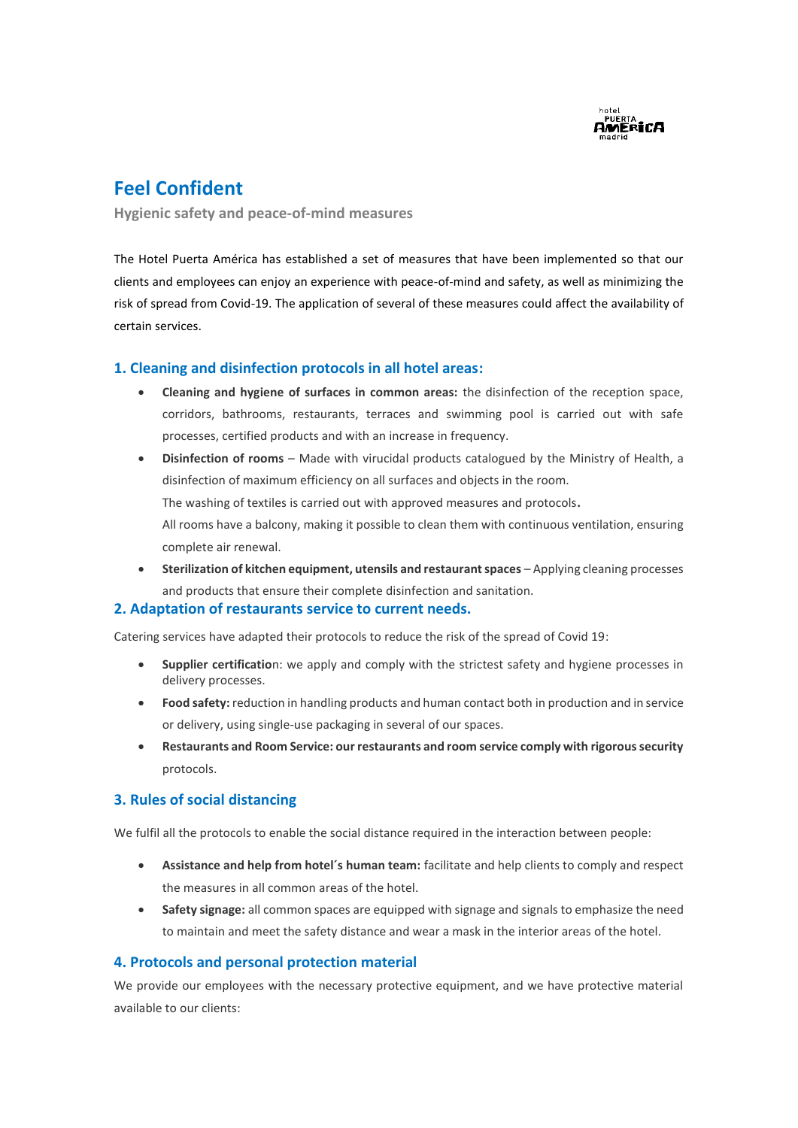

# **Feel Confident**

**Hygienic safety and peace-of-mind measures**

The Hotel Puerta América has established a set of measures that have been implemented so that our clients and employees can enjoy an experience with peace-of-mind and safety, as well as minimizing the risk of spread from Covid-19. The application of several of these measures could affect the availability of certain services.

## **1. Cleaning and disinfection protocols in all hotel areas:**

- **Cleaning and hygiene of surfaces in common areas:** the disinfection of the reception space, corridors, bathrooms, restaurants, terraces and swimming pool is carried out with safe processes, certified products and with an increase in frequency.
- **Disinfection of rooms** Made with virucidal products catalogued by the Ministry of Health, a disinfection of maximum efficiency on all surfaces and objects in the room. The washing of textiles is carried out with approved measures and protocols**.**  All rooms have a balcony, making it possible to clean them with continuous ventilation, ensuring complete air renewal.
- **Sterilization of kitchen equipment, utensils and restaurant spaces** Applying cleaning processes and products that ensure their complete disinfection and sanitation.

#### **2. Adaptation of restaurants service to current needs.**

Catering services have adapted their protocols to reduce the risk of the spread of Covid 19:

- **Supplier certificatio**n: we apply and comply with the strictest safety and hygiene processes in delivery processes.
- **Food safety:** reduction in handling products and human contact both in production and in service or delivery, using single-use packaging in several of our spaces.
- **Restaurants and Room Service: our restaurants and room service comply with rigorous security** protocols.

#### **3. Rules of social distancing**

We fulfil all the protocols to enable the social distance required in the interaction between people:

- **Assistance and help from hotel´s human team:** facilitate and help clients to comply and respect the measures in all common areas of the hotel.
- **Safety signage:** all common spaces are equipped with signage and signals to emphasize the need to maintain and meet the safety distance and wear a mask in the interior areas of the hotel.

#### **4. Protocols and personal protection material**

We provide our employees with the necessary protective equipment, and we have protective material available to our clients: